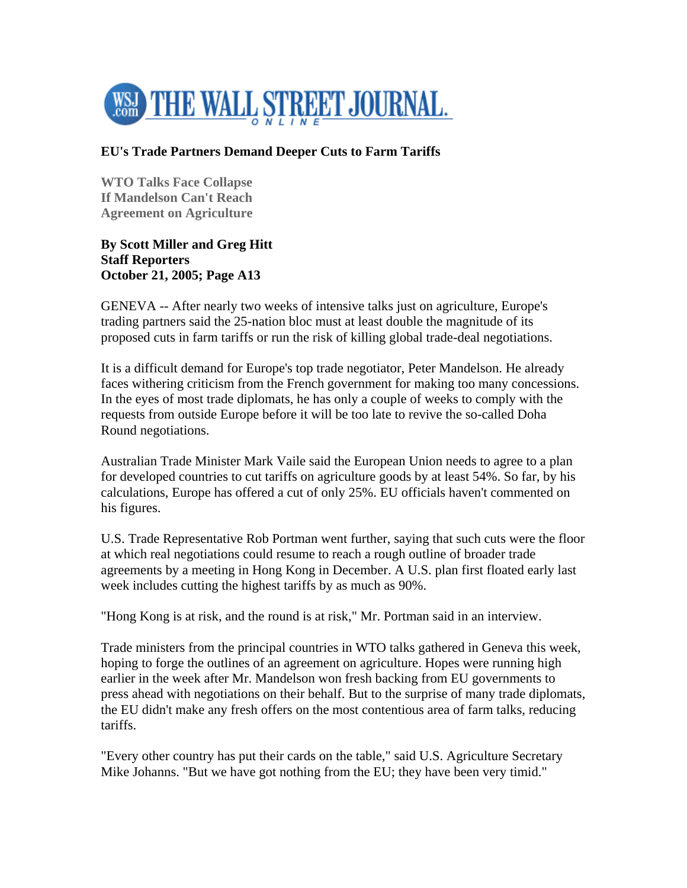

## **EU's Trade Partners Demand Deeper Cuts to Farm Tariffs**

**WTO Talks Face Collapse If Mandelson Can't Reach Agreement on Agriculture** 

**By Scott Miller and Greg Hitt Staff Reporters October 21, 2005; Page A13** 

GENEVA -- After nearly two weeks of intensive talks just on agriculture, Europe's trading partners said the 25-nation bloc must at least double the magnitude of its proposed cuts in farm tariffs or run the risk of killing global trade-deal negotiations.

It is a difficult demand for Europe's top trade negotiator, Peter Mandelson. He already faces withering criticism from the French government for making too many concessions. In the eyes of most trade diplomats, he has only a couple of weeks to comply with the requests from outside Europe before it will be too late to revive the so-called Doha Round negotiations.

Australian Trade Minister Mark Vaile said the European Union needs to agree to a plan for developed countries to cut tariffs on agriculture goods by at least 54%. So far, by his calculations, Europe has offered a cut of only 25%. EU officials haven't commented on his figures.

U.S. Trade Representative Rob Portman went further, saying that such cuts were the floor at which real negotiations could resume to reach a rough outline of broader trade agreements by a meeting in Hong Kong in December. A U.S. plan first floated early last week includes cutting the highest tariffs by as much as 90%.

"Hong Kong is at risk, and the round is at risk," Mr. Portman said in an interview.

Trade ministers from the principal countries in WTO talks gathered in Geneva this week, hoping to forge the outlines of an agreement on agriculture. Hopes were running high earlier in the week after Mr. Mandelson won fresh backing from EU governments to press ahead with negotiations on their behalf. But to the surprise of many trade diplomats, the EU didn't make any fresh offers on the most contentious area of farm talks, reducing tariffs.

"Every other country has put their cards on the table," said U.S. Agriculture Secretary Mike Johanns. "But we have got nothing from the EU; they have been very timid."